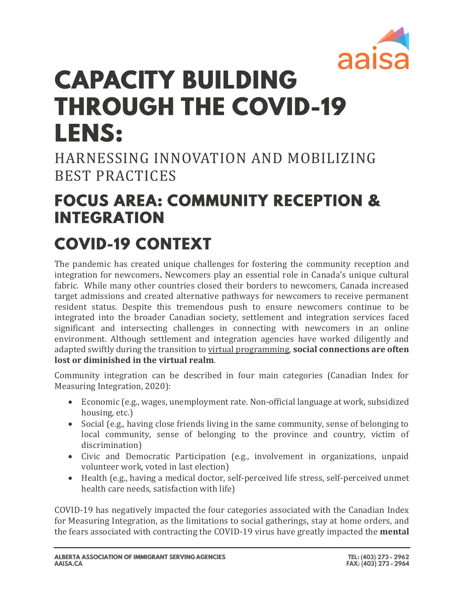

# **CAPACITY BUILDING THROUGH THE COVID-19 LENS:**

HARNESSING INNOVATION AND MOBILIZING BEST PRACTICES

### **FOCUS AREA: COMMUNITY RECEPTION & INTEGRATION**

## **COVID-19 CONTEXT**

The pandemic has created unique challenges for fostering the community reception and integration for newcomers**.** Newcomers play an essential role in Canada's unique cultural fabric. While many other countries closed their borders to newcomers, Canada increased target admissions and created alternative pathways for newcomers to receive permanent resident status. Despite this tremendous push to ensure newcomers continue to be integrated into the broader Canadian society, settlement and integration services faced significant and intersecting challenges in connecting with newcomers in an online environment. Although settlement and integration agencies have worked diligently and adapted swiftly during the transition to virtual programming, **social connections are often lost or diminished in the virtual realm**.

Community integration can be described in four main categories (Canadian Index for Measuring Integration, 2020):

- Economic (e.g., wages, unemployment rate. Non-official language at work, subsidized housing, etc.)
- Social (e.g., having close friends living in the same community, sense of belonging to local community, sense of belonging to the province and country, victim of discrimination)
- Civic and Democratic Participation (e.g., involvement in organizations, unpaid volunteer work, voted in last election)
- Health (e.g., having a medical doctor, self-perceived life stress, self-perceived unmet health care needs, satisfaction with life)

COVID-19 has negatively impacted the four categories associated with the Canadian Index for Measuring Integration, as the limitations to social gatherings, stay at home orders, and the fears associated with contracting the COVID-19 virus have greatly impacted the **mental**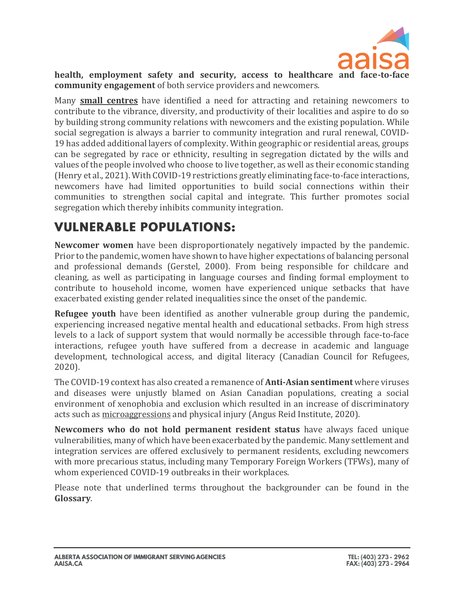

health, employment safety and security, access to healthcare and face-to **community engagement** of both service providers and newcomers.

Many **small centres** have identified a need for attracting and retaining newcomers to contribute to the vibrance, diversity, and productivity of their localities and aspire to do so by building strong community relations with newcomers and the existing population. While social segregation is always a barrier to community integration and rural renewal, COVID-19 has added additional layers of complexity. Within geographic or residential areas, groups can be segregated by race or ethnicity, resulting in segregation dictated by the wills and values of the people involved who choose to live together, as well as their economic standing (Henry et al., 2021). With COVID-19 restrictions greatly eliminating face-to-face interactions, newcomers have had limited opportunities to build social connections within their communities to strengthen social capital and integrate. This further promotes social segregation which thereby inhibits community integration.

### **VULNERABLE POPULATIONS:**

**Newcomer women** have been disproportionately negatively impacted by the pandemic. Prior to the pandemic, women have shown to have higher expectations of balancing personal and professional demands (Gerstel, 2000). From being responsible for childcare and cleaning, as well as participating in language courses and finding formal employment to contribute to household income, women have experienced unique setbacks that have exacerbated existing gender related inequalities since the onset of the pandemic.

**Refugee youth** have been identified as another vulnerable group during the pandemic, experiencing increased negative mental health and educational setbacks. From high stress levels to a lack of support system that would normally be accessible through face-to-face interactions, refugee youth have suffered from a decrease in academic and language development, technological access, and digital literacy (Canadian Council for Refugees, 2020).

The COVID-19 context has also created a remanence of **Anti-Asian sentiment** where viruses and diseases were unjustly blamed on Asian Canadian populations, creating a social environment of xenophobia and exclusion which resulted in an increase of discriminatory acts such as microaggressions and physical injury (Angus Reid Institute, 2020).

**Newcomers who do not hold permanent resident status** have always faced unique vulnerabilities, many of which have been exacerbated by the pandemic. Many settlement and integration services are offered exclusively to permanent residents, excluding newcomers with more precarious status, including many Temporary Foreign Workers (TFWs), many of whom experienced COVID-19 outbreaks in their workplaces.

Please note that underlined terms throughout the backgrounder can be found in the **Glossary**.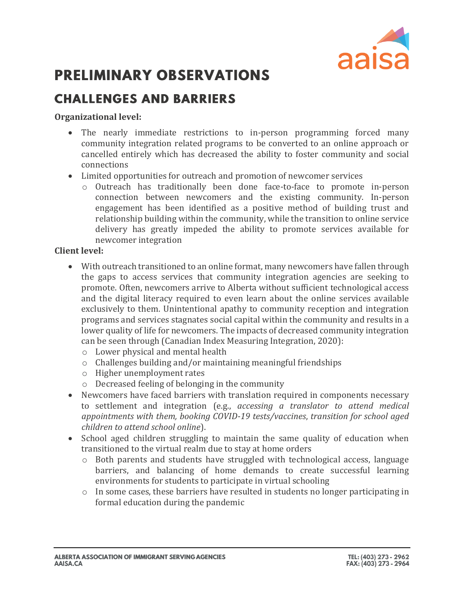

### **PRELIMINARY OBSERVATIONS**

### **CHALLENGES AND BARRIERS**

#### **Organizational level:**

- The nearly immediate restrictions to in-person programming forced many community integration related programs to be converted to an online approach or cancelled entirely which has decreased the ability to foster community and social connections
- Limited opportunities for outreach and promotion of newcomer services
	- o Outreach has traditionally been done face-to-face to promote in-person connection between newcomers and the existing community. In-person engagement has been identified as a positive method of building trust and relationship building within the community, while the transition to online service delivery has greatly impeded the ability to promote services available for newcomer integration

#### **Client level:**

- With outreach transitioned to an online format, many newcomers have fallen through the gaps to access services that community integration agencies are seeking to promote. Often, newcomers arrive to Alberta without sufficient technological access and the digital literacy required to even learn about the online services available exclusively to them. Unintentional apathy to community reception and integration programs and services stagnates social capital within the community and results in a lower quality of life for newcomers. The impacts of decreased community integration can be seen through (Canadian Index Measuring Integration, 2020):
	- o Lower physical and mental health
	- o Challenges building and/or maintaining meaningful friendships
	- o Higher unemployment rates
	- o Decreased feeling of belonging in the community
- Newcomers have faced barriers with translation required in components necessary to settlement and integration (e.g., *accessing a translator to attend medical appointments with them, booking COVID-19 tests/vaccines*, *transition for school aged children to attend school online*).
- School aged children struggling to maintain the same quality of education when transitioned to the virtual realm due to stay at home orders
	- o Both parents and students have struggled with technological access, language barriers, and balancing of home demands to create successful learning environments for students to participate in virtual schooling
	- o In some cases, these barriers have resulted in students no longer participating in formal education during the pandemic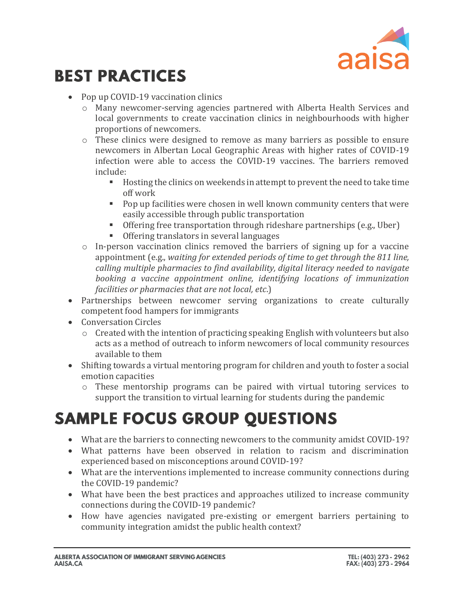

### **BEST PRACTICES**

- Pop up COVID-19 vaccination clinics
	- o Many newcomer-serving agencies partnered with Alberta Health Services and local governments to create vaccination clinics in neighbourhoods with higher proportions of newcomers.
	- o These clinics were designed to remove as many barriers as possible to ensure newcomers in Albertan Local Geographic Areas with higher rates of COVID-19 infection were able to access the COVID-19 vaccines. The barriers removed include:
		- Hosting the clinics on weekends in attempt to prevent the need to take time off work
		- Pop up facilities were chosen in well known community centers that were easily accessible through public transportation
		- Offering free transportation through rideshare partnerships (e.g., Uber)
		- Offering translators in several languages
	- o In-person vaccination clinics removed the barriers of signing up for a vaccine appointment (e.g., *waiting for extended periods of time to get through the 811 line, calling multiple pharmacies to find availability, digital literacy needed to navigate booking a vaccine appointment online, identifying locations of immunization facilities or pharmacies that are not local, etc*.)
- Partnerships between newcomer serving organizations to create culturally competent food hampers for immigrants
- Conversation Circles
	- $\circ$  Created with the intention of practicing speaking English with volunteers but also acts as a method of outreach to inform newcomers of local community resources available to them
- Shifting towards a virtual mentoring program for children and youth to foster a social emotion capacities
	- o These mentorship programs can be paired with virtual tutoring services to support the transition to virtual learning for students during the pandemic

### **SAMPLE FOCUS GROUP QUESTIONS**

- What are the barriers to connecting newcomers to the community amidst COVID-19?
- What patterns have been observed in relation to racism and discrimination experienced based on misconceptions around COVID-19?
- What are the interventions implemented to increase community connections during the COVID-19 pandemic?
- What have been the best practices and approaches utilized to increase community connections during the COVID-19 pandemic?
- How have agencies navigated pre-existing or emergent barriers pertaining to community integration amidst the public health context?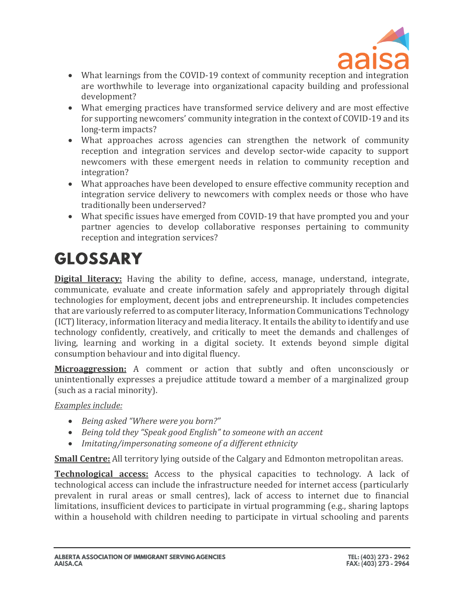

- What learnings from the COVID-19 context of community reception and integration are worthwhile to leverage into organizational capacity building and professional development?
- What emerging practices have transformed service delivery and are most effective for supporting newcomers' community integration in the context of COVID-19 and its long-term impacts?
- What approaches across agencies can strengthen the network of community reception and integration services and develop sector-wide capacity to support newcomers with these emergent needs in relation to community reception and integration?
- What approaches have been developed to ensure effective community reception and integration service delivery to newcomers with complex needs or those who have traditionally been underserved?
- What specific issues have emerged from COVID-19 that have prompted you and your partner agencies to develop collaborative responses pertaining to community reception and integration services?

# **GLOSSARY**

**[Digital literacy:](http://uis.unesco.org/en/blog/global-framework-measure-digital-literacy)** Having the ability to define, access, manage, understand, integrate, communicate, evaluate and create information safely and appropriately through digital technologies for employment, decent jobs and entrepreneurship. It includes competencies that are variously referred to as computer literacy, Information Communications Technology (ICT)literacy, information literacy and media literacy. It entails the ability to identify and use technology confidently, creatively, and critically to meet the demands and challenges of living, learning and working in a digital society. It extends beyond simple digital consumption behaviour and into digital fluency.

**[Microaggression:](https://www.merriam-webster.com/dictionary/microaggression)** A comment or action that subtly and often unconsciously or unintentionally expresses a prejudice attitude toward a member of a marginalized group (such as a racial minority).

*[Examples include:](https://angusreid.org/anti-asian-discrimination/)*

- *Being asked "Where were you born?"*
- *Being told they "Speak good English" to someone with an accent*
- *Imitating/impersonating someone of a different ethnicity*

**Small Centre:** All territory lying outside of the Calgary and Edmonton metropolitan areas.

**Technological access:** Access to the physical capacities to technology. A lack of technological access can include the infrastructure needed for internet access (particularly prevalent in rural areas or small centres), lack of access to internet due to financial limitations, insufficient devices to participate in virtual programming (e.g., sharing laptops within a household with children needing to participate in virtual schooling and parents